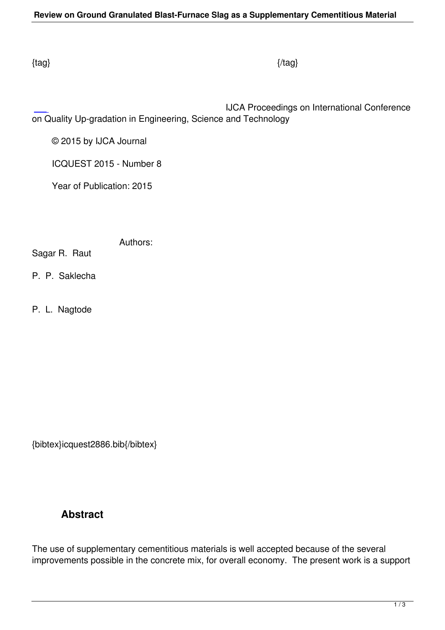IJCA Proceedings on International Conference on Quality Up-gradation in Engineering, Science and Technology

© 2015 by IJCA Journal

ICQUEST 2015 - Number 8

Year of Publication: 2015

Authors:

Sagar R. Raut

P. P. Saklecha

P. L. Nagtode

{bibtex}icquest2886.bib{/bibtex}

## **Abstract**

The use of supplementary cementitious materials is well accepted because of the several improvements possible in the concrete mix, for overall economy. The present work is a support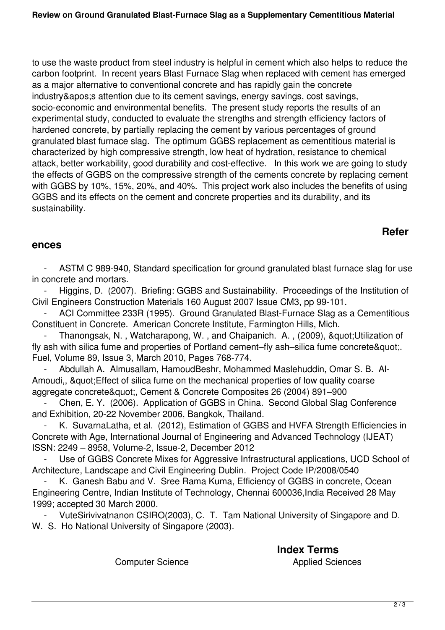to use the waste product from steel industry is helpful in cement which also helps to reduce the carbon footprint. In recent years Blast Furnace Slag when replaced with cement has emerged as a major alternative to conventional concrete and has rapidly gain the concrete industry&apos: attention due to its cement savings, energy savings, cost savings, socio-economic and environmental benefits. The present study reports the results of an experimental study, conducted to evaluate the strengths and strength efficiency factors of hardened concrete, by partially replacing the cement by various percentages of ground granulated blast furnace slag. The optimum GGBS replacement as cementitious material is characterized by high compressive strength, low heat of hydration, resistance to chemical attack, better workability, good durability and cost-effective. In this work we are going to study the effects of GGBS on the compressive strength of the cements concrete by replacing cement with GGBS by 10%, 15%, 20%, and 40%. This project work also includes the benefits of using GGBS and its effects on the cement and concrete properties and its durability, and its sustainability.

## **Refer**

## **ences**

ASTM C 989-940, Standard specification for ground granulated blast furnace slag for use in concrete and mortars.

Higgins, D. (2007). Briefing: GGBS and Sustainability. Proceedings of the Institution of Civil Engineers Construction Materials 160 August 2007 Issue CM3, pp 99-101.

ACI Committee 233R (1995). Ground Granulated Blast-Furnace Slag as a Cementitious Constituent in Concrete. American Concrete Institute, Farmington Hills, Mich.

Thanongsak, N., Watcharapong, W., and Chaipanich. A., (2009), " Utilization of fly ash with silica fume and properties of Portland cement–fly ash–silica fume concrete". Fuel, Volume 89, Issue 3, March 2010, Pages 768-774.

 - Abdullah A. Almusallam, HamoudBeshr, Mohammed Maslehuddin, Omar S. B. Al-Amoudi,, &quot: Effect of silica fume on the mechanical properties of low quality coarse aggregate concrete", Cement & Concrete Composites 26 (2004) 891–900

Chen, E. Y. (2006). Application of GGBS in China. Second Global Slag Conference and Exhibition, 20-22 November 2006, Bangkok, Thailand.

K. SuvarnaLatha, et al. (2012), Estimation of GGBS and HVFA Strength Efficiencies in Concrete with Age, International Journal of Engineering and Advanced Technology (IJEAT) ISSN: 2249 – 8958, Volume-2, Issue-2, December 2012

Use of GGBS Concrete Mixes for Aggressive Infrastructural applications, UCD School of Architecture, Landscape and Civil Engineering Dublin. Project Code IP/2008/0540

K. Ganesh Babu and V. Sree Rama Kuma, Efficiency of GGBS in concrete, Ocean Engineering Centre, Indian Institute of Technology, Chennai 600036,India Received 28 May 1999; accepted 30 March 2000.

 - VuteSirivivatnanon CSIRO(2003), C. T. Tam National University of Singapore and D. W. S. Ho National University of Singapore (2003).

Computer Science **Applied Sciences Applied Sciences** 

**Index Terms**